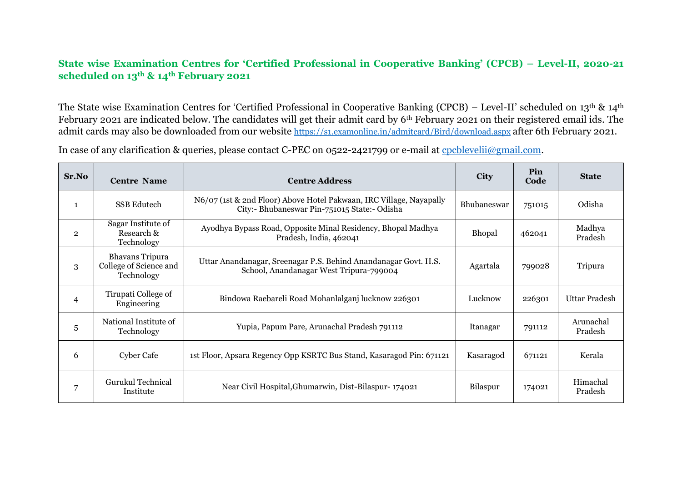## **State wise Examination Centres for 'Certified Professional in Cooperative Banking' (CPCB) – Level-II, 2020-21 scheduled on 13th & 14th February 2021**

The State wise Examination Centres for 'Certified Professional in Cooperative Banking (CPCB) – Level-II' scheduled on 13th & 14th February 2021 are indicated below. The candidates will get their admit card by 6th February 2021 on their registered email ids. The admit cards may also be downloaded from our website <https://s1.examonline.in/admitcard/Bird/download.aspx> after 6th February 2021.

In case of any clarification & queries, please contact C-PEC on 0522-2421799 or e-mail at [cpcblevelii@gmail.com.](mailto:cpcblevelii@gmail.com)

| Sr.No          | <b>Centre Name</b>                                             | <b>Centre Address</b>                                                                                               | <b>City</b>        | <b>Pin</b><br>Code | <b>State</b>         |
|----------------|----------------------------------------------------------------|---------------------------------------------------------------------------------------------------------------------|--------------------|--------------------|----------------------|
| $\mathbf{1}$   | <b>SSB</b> Edutech                                             | N6/07 (1st & 2nd Floor) Above Hotel Pakwaan, IRC Village, Nayapally<br>City:- Bhubaneswar Pin-751015 State:- Odisha | <b>Bhubaneswar</b> | 751015             | Odisha               |
| $\overline{2}$ | Sagar Institute of<br>Research &<br>Technology                 | Ayodhya Bypass Road, Opposite Minal Residency, Bhopal Madhya<br>Pradesh, India, 462041                              | Bhopal             | 462041             | Madhya<br>Pradesh    |
| 3              | <b>Bhavans Tripura</b><br>College of Science and<br>Technology | Uttar Anandanagar, Sreenagar P.S. Behind Anandanagar Govt. H.S.<br>School, Anandanagar West Tripura-799004          | Agartala           | 799028             | Tripura              |
| $\overline{4}$ | Tirupati College of<br>Engineering                             | Bindowa Raebareli Road Mohanlalganj lucknow 226301                                                                  | Lucknow            | 226301             | <b>Uttar Pradesh</b> |
| 5              | National Institute of<br>Technology                            | Yupia, Papum Pare, Arunachal Pradesh 791112                                                                         | Itanagar           | 791112             | Arunachal<br>Pradesh |
| 6              | Cyber Cafe                                                     | 1st Floor, Apsara Regency Opp KSRTC Bus Stand, Kasaragod Pin: 671121                                                | Kasaragod          | 671121             | Kerala               |
|                | <b>Gurukul Technical</b><br>Institute                          | Near Civil Hospital, Ghumarwin, Dist-Bilaspur-174021                                                                | Bilaspur           | 174021             | Himachal<br>Pradesh  |